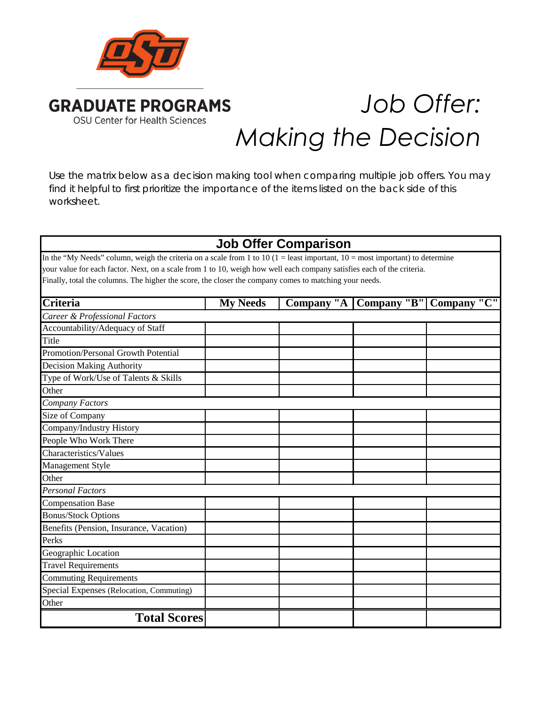

# *Job Offer: Making the Decision*

Use the matrix below as a decision making tool when comparing multiple job offers. You may find it helpful to first prioritize the importance of the items listed on the back side of this worksheet.

## **Job Offer Comparison**

In the "My Needs" column, weigh the criteria on a scale from 1 to 10 (1 = least important, 10 = most important) to determine your value for each factor. Next, on a scale from 1 to 10, weigh how well each company satisfies each of the criteria. Finally, total the columns. The higher the score, the closer the company comes to matching your needs.

| <b>Criteria</b>                          | <b>My Needs</b> |  | Company "A   Company "B"   Company "C" |
|------------------------------------------|-----------------|--|----------------------------------------|
| Career & Professional Factors            |                 |  |                                        |
| Accountability/Adequacy of Staff         |                 |  |                                        |
| Title                                    |                 |  |                                        |
| Promotion/Personal Growth Potential      |                 |  |                                        |
| <b>Decision Making Authority</b>         |                 |  |                                        |
| Type of Work/Use of Talents & Skills     |                 |  |                                        |
| Other                                    |                 |  |                                        |
| Company Factors                          |                 |  |                                        |
| Size of Company                          |                 |  |                                        |
| Company/Industry History                 |                 |  |                                        |
| People Who Work There                    |                 |  |                                        |
| Characteristics/Values                   |                 |  |                                        |
| Management Style                         |                 |  |                                        |
| Other                                    |                 |  |                                        |
| <b>Personal Factors</b>                  |                 |  |                                        |
| <b>Compensation Base</b>                 |                 |  |                                        |
| <b>Bonus/Stock Options</b>               |                 |  |                                        |
| Benefits (Pension, Insurance, Vacation)  |                 |  |                                        |
| Perks                                    |                 |  |                                        |
| Geographic Location                      |                 |  |                                        |
| <b>Travel Requirements</b>               |                 |  |                                        |
| <b>Commuting Requirements</b>            |                 |  |                                        |
| Special Expenses (Relocation, Commuting) |                 |  |                                        |
| Other                                    |                 |  |                                        |
| <b>Total Scores</b>                      |                 |  |                                        |